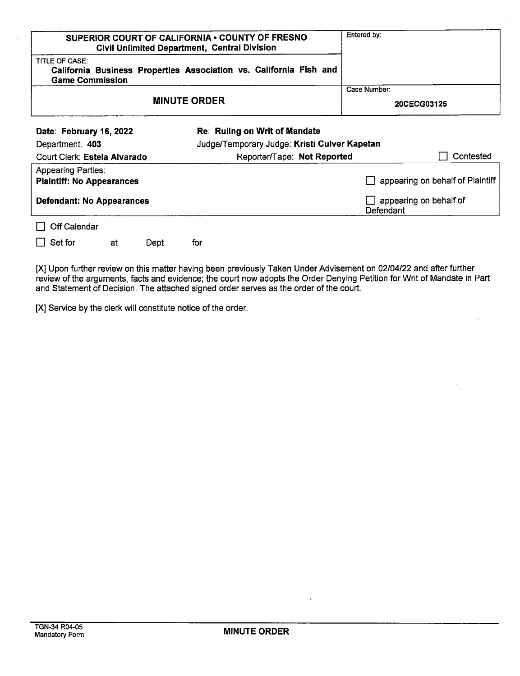| <b>SUPERIOR COURT OF CALIFORNIA • COUNTY OF FRESNO</b>                                                                | <b>Civil Unlimited Department, Central Division</b> | Entered by:                         |                                              |                                  |  |
|-----------------------------------------------------------------------------------------------------------------------|-----------------------------------------------------|-------------------------------------|----------------------------------------------|----------------------------------|--|
| <b>TITLE OF CASE:</b><br>California Business Properties Association vs. California Fish and<br><b>Game Commission</b> |                                                     |                                     |                                              |                                  |  |
|                                                                                                                       |                                                     |                                     |                                              | Case Number:                     |  |
|                                                                                                                       |                                                     | 20CECG03125                         |                                              |                                  |  |
| Date: February 16, 2022                                                                                               |                                                     |                                     | Re: Ruling on Writ of Mandate                |                                  |  |
| Department: 403                                                                                                       |                                                     |                                     | Judge/Temporary Judge: Kristi Culver Kapetan |                                  |  |
| Court Clerk: Estela Alvarado                                                                                          |                                                     |                                     | Contested<br>Reporter/Tape: Not Reported     |                                  |  |
| <b>Appearing Parties:</b><br><b>Plaintiff: No Appearances</b>                                                         |                                                     |                                     |                                              | appearing on behalf of Plaintiff |  |
| <b>Defendant: No Appearances</b>                                                                                      |                                                     | appearing on behalf of<br>Defendant |                                              |                                  |  |
| Off Calendar                                                                                                          |                                                     |                                     |                                              |                                  |  |
| Set for                                                                                                               | at                                                  | Dept                                | for                                          |                                  |  |

[X] Upon further review on this matter having been previously Taken Under Advisement on 02/04/22 and after further review of the arguments, facts and evidence; the court now adopts the Order Denying Petition for Writ of Mandate in Part and Statement of Decision. The attached signed order serves as the order of the court.

[X] Service by the clerk will constitute notice of the order.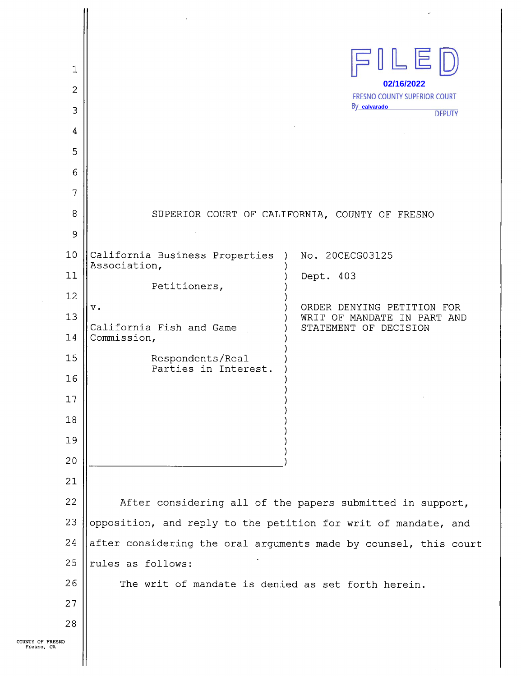| 1<br>$\overline{2}$<br>3<br>4<br>5<br>6<br>7<br>8                    |                                                                                                                                                                          | ILED<br>02/16/2022<br><b>FRESNO COUNTY SUPERIOR COURT</b><br>By ealvarado<br><b>DEPUTY</b><br>SUPERIOR COURT OF CALIFORNIA, COUNTY OF FRESNO |  |  |  |  |
|----------------------------------------------------------------------|--------------------------------------------------------------------------------------------------------------------------------------------------------------------------|----------------------------------------------------------------------------------------------------------------------------------------------|--|--|--|--|
| 9                                                                    |                                                                                                                                                                          |                                                                                                                                              |  |  |  |  |
| 10<br>11<br>12<br>13<br>14<br>15<br>16<br>17<br>18<br>19<br>20<br>21 | California Business Properties )<br>Association,<br>Petitioners,<br>$\mathbf v$ .<br>California Fish and Game<br>Commission,<br>Respondents/Real<br>Parties in Interest. | No. 20CECG03125<br>Dept. 403<br>ORDER DENYING PETITION FOR<br>WRIT OF MANDATE IN PART AND<br>STATEMENT OF DECISION                           |  |  |  |  |
| 22                                                                   |                                                                                                                                                                          |                                                                                                                                              |  |  |  |  |
| 23                                                                   | After considering all of the papers submitted in support,<br>opposition, and reply to the petition for writ of mandate, and                                              |                                                                                                                                              |  |  |  |  |
| 24                                                                   | after considering the oral arguments made by counsel, this court                                                                                                         |                                                                                                                                              |  |  |  |  |
| 25                                                                   | rules as follows:                                                                                                                                                        |                                                                                                                                              |  |  |  |  |
| 26                                                                   |                                                                                                                                                                          | The writ of mandate is denied as set forth herein.                                                                                           |  |  |  |  |
| 27                                                                   |                                                                                                                                                                          |                                                                                                                                              |  |  |  |  |
| 28                                                                   |                                                                                                                                                                          |                                                                                                                                              |  |  |  |  |
| о                                                                    |                                                                                                                                                                          |                                                                                                                                              |  |  |  |  |

 $\hat{\mathcal{L}}$ 

 $\sim$ 

 $\sim$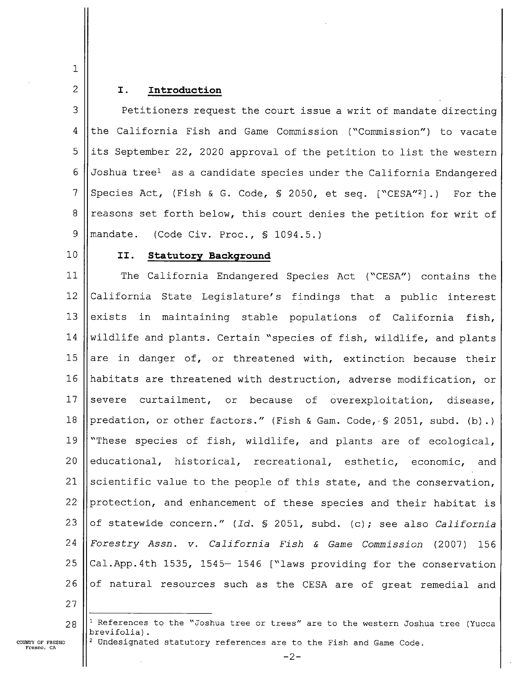## $\mathbf{1}$  $\overline{2}$

### I. Introduction

3 Petitioners request the court issue a writ of mandate directing 4 the California Fish and Game Commission ("Commission") to vacate 5 its September 22, 2020 approval of the petition to list the western 6 Joshua treel as candidate species under the California Endangered 7 Species Act, (Fish & G. Code, § 2050, et seq. ["CESA"2].) For the 8 reasons set forth below, this court denies the petition for writ of 9 mandate. (Code Civ. Proc., § 1094.5.)

 $10$ 

### II. Statutory Background

11 12 l3 l4 15 l6 17 l8 l9 20 21 22 23 24 25 26 The California Endangered Species Act ("CESA") contains the California State Legislature's findings that a public interest exists in maintaining stable populations of California fish, wildlife and plants. Certain "species of fish, wildlife, and plants are in danger of, or threatened with, extinction because their habitats are threatened with destruction, adverse modification, or severe curtailment, or because of overexploitation, disease, predation, or other factors." (Fish & Gam. Code, § 2051, subd. (b).) "These species of fish, wildlife, and plants are of ecological, educational, historical, recreational, esthetic, economic, and scientific value to the people of this state, and the conservation, protection, and enhancement of these species and their habitat is of statewide concern." (Id. § 2051, subd. (c); see also California Forestry Assn. v. California Fish & Game Commission (2007) 156 Cal.App.4th 1535, 1545— 1546 ["laws providing for the conservation of natural resources such as the CESA are of great remedial and

27

28 <sup>1</sup> References to the "Joshua tree or trees" are to the western Joshua tree (Yucca brevifolia).  $^2$  Undesignated statutory references are to the Fish and Game Code.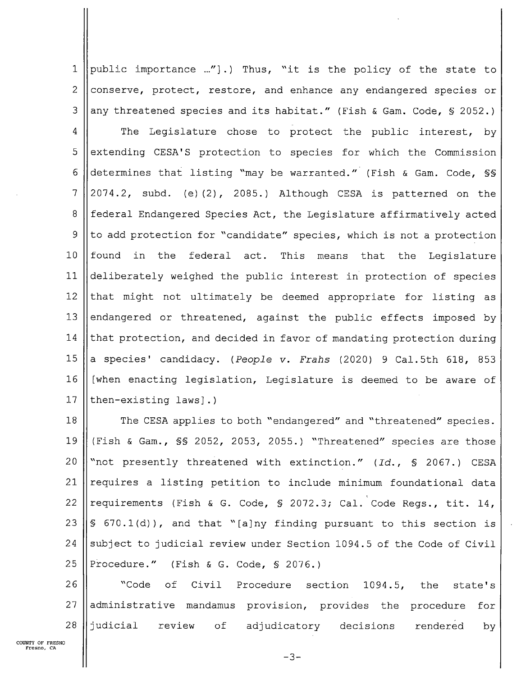1 || public importance ..."].) Thus, "it is the policy of the state to 2 conserve, protect, restore, and enhance any endangered species or 3 ||any threatened species and its habitat." (Fish & Gam. Code, § 2052.)

4 || The Legislature chose to protect the public interest, by  $5$  extending CESA'S protection to species for which the Commission 6 determines that listing "may be warranted." (Fish & Gam. Code, §§  $7 \mid 2074.2$ , subd. (e)(2), 2085.) Although CESA is patterned on the 8 || federal Endangered Species Act, the Legislature affirmatively acted 9 || to add protection for "candidate" species, which is not a protection 10 found in the federal act. This means that the Legislature 11 deliberately weighed the public interest in'protection of species 12  $\parallel$  that might not ultimately be deemed appropriate for listing as 13 ||endangered or threatened, against the public effects imposed by 14  $\parallel$  that protection, and decided in favor of mandating protection during 15  $\vert$  a species' candidacy. (People v. Frahs (2020) 9 Cal.5th 618, 853 l6 [when enacting legislation, Legislature is deemed to be aware of 17  $\|$ then-existing laws].)

18 || The CESA applies to both "endangered" and "threatened" species. l9 (Fish & Gam., §§ 2052, 2053, 2055.) "Threatened" species are those 20  $\lVert$  "not presently threatened with extinction." (Id., § 2067.) CESA 21  $\parallel$  requires a listing petition to include minimum foundational data 22 || requirements (Fish & G. Code, § 2072.3; Cal. Code Regs., tit. 14, 23 § 670.1(d)), and that "[aJny finding pursuant to this section is 24 Subject to judicial review under Section 1094.5 of the Code of Civil 25 || Procedure." (Fish & G. Code,  $\frac{1}{5}$  2076.)

26 || Code of Civil Procedure section 1094.5, the state's 27 || administrative mandamus provision, provides the procedure for 28 judicial review of adjudicatory decisions rendered by

 $-3-$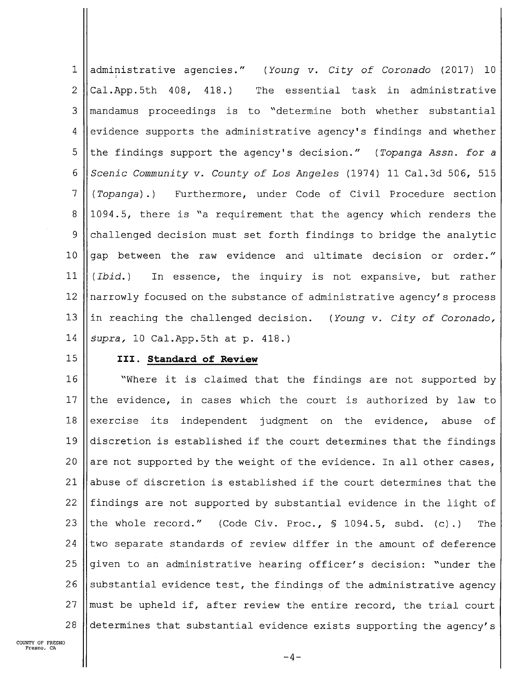administrative agencies." (Young v. City of Coronado (2017) 10  $\mathbf 1$ 2  $|$ Cal.App.5th 408, 418.) The essential task in administrative <sup>3</sup> mandamus proceedings is to "determine both whether substantial 4 evidence supports the administrative agency's findings and whether 5 the findings support the agency's decision." (Topanga Assn. for a 6 Scenic Community v. County of Los Angeles (1974) 11 Cal.3d 506, 515  $7$  (Topanga).) Furthermore, under Code of Civil Procedure section 8 1094.5, there is "a requirement that the agency which renders the 9 challenged decision must set forth findings to bridge the analytic 10  $\parallel$  gap between the raw evidence and ultimate decision or order." 11  $\parallel$  (Ibid.) In essence, the inquiry is not expansive, but rather 12  $\parallel$  narrowly focused on the substance of administrative agency's process 13  $\|\$ in reaching the challenged decision. (Young v. City of Coronado, 14  $\vert$  supra, 10 Cal. App. 5th at p. 418.)

### 15 || III. Standard of Review

16 | Where it is claimed that the findings are not supported by 17 || the evidence, in cases which the court is authorized by law to 18 exercise its independent judgment on the evidence, abuse of 19  $\parallel$  discretion is established if the court determines that the findings 20 are not supported by the weight of the evidence. In all other cases, 21  $\parallel$  abuse of discretion is established if the court determines that the 22  $\parallel$  findings are not supported by substantial evidence in the light of 23 the whole record." (Code Civ. Proc.,  $\frac{1094.5}{1094.5}$ , subd. (c).) The 24 two separate standards of review differ in the amount of deference 25 given to an administrative hearing officer's decision: "under the 26 Substantial evidence test, the findings of the administrative agency 27  $\parallel$  must be upheld if, after review the entire record, the trial court 28  $\parallel$  determines that substantial evidence exists supporting the agency's

COUNTY OF FRESNO Fresno. CA

 $-4-$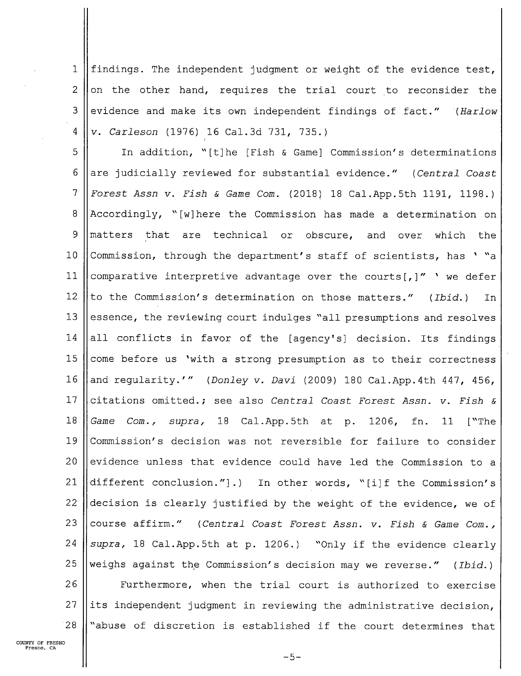$\mathbf 1$ findings. The independent judgment or weight of the evidence test,  $\overline{2}$ on the other hand, requires the trial court to reconsider the 3 evidence and make its own independent findings of fact." (Harlow 4 v. Carleson (1976) 16 Cal.3d 731, 735.)

5 In addition, "[t]he [Fish & Game] Commission's determinations 6 are judicially reviewed for substantial evidence." (Central Coast  $\overline{7}$ Forest Assn V. Fish & Game Com. (2018) 18 Cal.App.5th 1191, 1198.) Accordingly, "[w] here the Commission has made a determination on 8 9 matters that are technical or obscure, and over which the Commission, through the department's staff of scientists, has ' "a  $1<sub>0</sub>$ ll comparative interpretive advantage over the courts[,]" ' we defer 12 to the Commission's determination on those matters." (Ibid.) In l3 essence, the reviewing court indulges "all presumptions and resolves 14 all conflicts in favor of the [agency's] decision. Its findings 15 come before us 'with a strong presumption as to their correctness l6 and regularity.'" (Donley v. Davi (2009) 180 Cal.App.4th 447, 456, l7 citations omitted.; see also Central Coast Forest Assn. v. Fish & l8 Game Com., supra, 18 Cal.App.5th at p. 1206, fn. 11 ["The 19 Commission's decision was not reversible for failure to consider 20 evidence unless that evidence could have led the Commission to 21 different conclusion."].) In other words, "[i]f the Commission's 22 decision is clearly justified by the weight of the evidence, we of 23 course affirm." (Central Coast Forest Assn. v. Fish & Game Com., 24 supra, 18 Cal.App.5th at p. 1206.) "Only if the evidence clearly 25 weighs against the Commission's decision may we reverse." (Ibid.) 26 Furthermore, when the trial court is authorized to exercise 27 its independent judgment in reviewing the administrative decision, "abuse of discretion is established if the court determines that '28

 $-5-$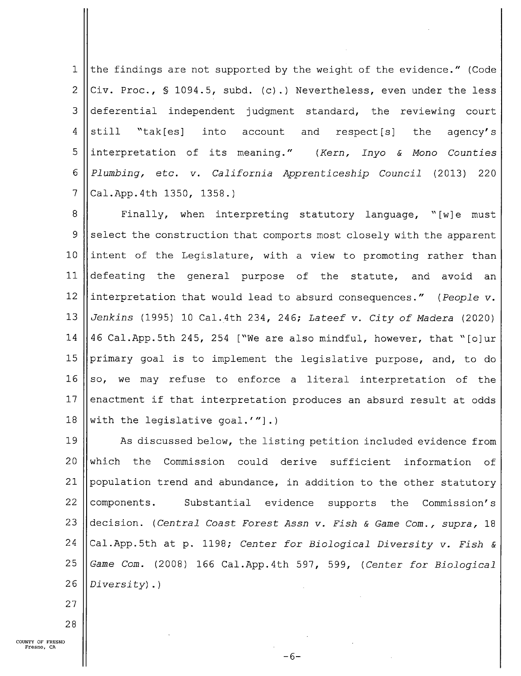$\mathbf{1}$ the findings are not supported by the weight of the evidence." (Code 2 Civ. Proc.,  $\frac{1094.5}{1094.5}$ , subd. (c).) Nevertheless, even under the less 3 deferential independent judgment standard, the reviewing court 4  $\left\|$  still "tak[es] into account and respect[s] the agency's  $5$  ||interpretation of its meaning." (Kern, Inyo & Mono Counties <sup>6</sup> Plumbing, etc. v. California Apprenticeship Council (2013) 220  $7$  | Cal.App.4th 1350, 1358.)

8 || Finally, when interpreting statutory language, "[w]e must  $9$  select the construction that comports most closely with the apparent 10 lintent of the Legislature, with a view to promoting rather than 11 defeating the general purpose of the statute, and avoid an 12 | interpretation that would lead to absurd consequences." (People  $v$ . 13  $|$  Jenkins (1995) 10 Cal.4th 234, 246; Lateef v. City of Madera (2020) 14  $\vert$  46 Cal.App.5th 245, 254 ["We are also mindful, however, that "[o]ur 15 ||primary goal is to implement the legislative purpose, and, to do 16  $\parallel$  so, we may refuse to enforce a literal interpretation of the 17 enactment if that interpretation produces an absurd result at odds 18 With the legislative goal.'" $\rceil$ .)

19 | As discussed below, the listing petition included evidence from 20 Which the Commission could derive sufficient information of 21 | population trend and abundance, in addition to the other statutory 22  $\vert$  components. Substantial evidence supports the Commission's 23 decision. (Central Coast Forest Assn v. Fish & Game Com., supra, 18 24 Cal.App.5th at p. 1198; Center for Biological Diversity v. Fish & 25  $\parallel$  Game Com. (2008) 166 Cal.App.4th 597, 599, (Center for Biological 26  $|$  *Diversity*).

 $-6-$ 

27

28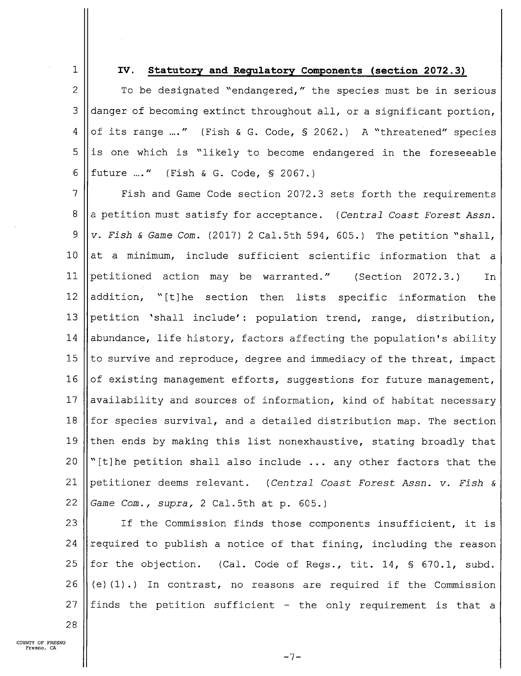1

### IV. Statutory and Regulatory Components (section 2072.3)

2  $\parallel$  To be designated "endangered," the species must be in serious 3 danger of becoming extinct throughout all, or a significant portion, 4 || of its range ..." (Fish & G. Code,  $\frac{1}{2}$  2062.) A "threatened" species  $5$  ||is one which is "likely to become endangered in the foreseeable 6 future ..." (Fish & G. Code, § 2067.)

7 | Fish and Game Code section 2072.3 sets forth the requirements 8 || a petition must satisfy for acceptance. (Central Coast Forest Assn.  $9 \parallel v$ . Fish & Game Com. (2017) 2 Cal.5th 594, 605.) The petition "shall, 10  $\vert$  at a minimum, include sufficient scientific information that a 11 petitioned action may be warranted." (Section 2072.3.) In 12  $\parallel$  addition, "[t]he section then lists specific information the 13 petition 'shall include': population trend, range, distribution, 14 | abundance, life history, factors affecting the population's ability 15 || to survive and reproduce, degree and immediacy of the threat, impact 16  $\vert$  of existing management efforts, suggestions for future management, 17  $\parallel$  availability and sources of information, kind of habitat necessary 18  $\parallel$  for species survival, and a detailed distribution map. The section 19  $\parallel$  then ends by making this list nonexhaustive, stating broadly that 20  $\|$  "[t]he petition shall also include ... any other factors that the 21 || petitioner deems relevant. (Central Coast Forest Assn. v. Fish & 22  $\parallel$  Game Com., supra, 2 Cal.5th at p. 605.)

23  $\parallel$  If the Commission finds those components insufficient, it is 24 || required to publish a notice of that fining, including the reason 25 || for the objection. (Cal. Code of Regs., tit. 14, § 670.1, subd. 26  $(e)(1)$ .) In contrast, no reasons are required if the Commission 27 || finds the petition sufficient - the only requirement is that a

28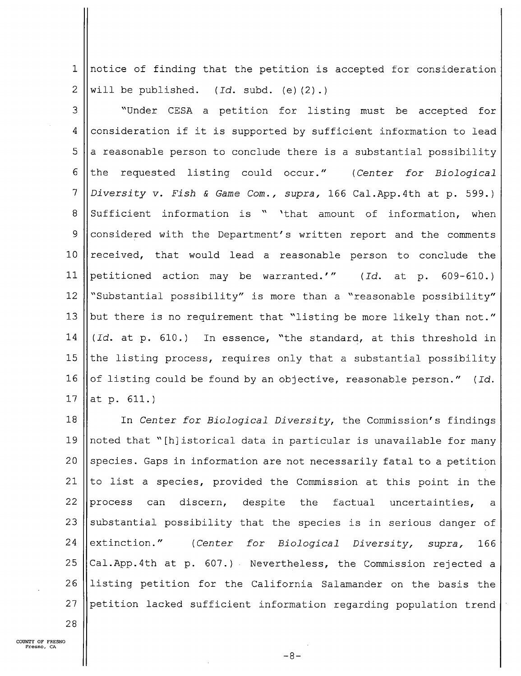notice of finding that the petition is accepted for consideration  $\mathbf{1}$  $\overline{2}$ will be published.  $(Id. \text{subd. (e)}(2)$ .)

3 "Under CESA petition for listing must be accepted for 4 consideration if it is supported by sufficient information to lead  $5\overline{)}$ a reasonable person to conclude there is a substantial possibility 6 the requested listing could occur." (Center for Biological  $\overline{7}$ Diversity v. Fish & Game Com., supra, 166 Cal.App.4th at p. 599.) 8 Sufficient information is " 'that amount of information, when 9 considered with the Department's written report and the comments lO received, that would lead a reasonable person to conclude the ll petitioned action may be warranted.'" (Id. at p. 609—610.) l2 "Substantial possibility" is more than a "reasonable possibility" l3 but there is no requirement that "listing be more likely than not." 14 (Id. at p. 610.) In essence, "the standard, at this threshold in 15 the listing process, requires only that a substantial possibility l6 of listing could be found by an objective, reasonable person." (Id. l7 at p. 611.)

18 l9 20 21  $22$  ||process 23 24  $\parallel$  extinction." 25 26 27 In Center for Biological Diversity, the Commission's findings noted that "[h]istorical data in particular is unavailable for many species. Gaps in information are not necessarily fatal to a petition to list a species, provided the Commission at this point in the can discern, despite the factual uncertainties, a substantial possibility that the species is in serious danger of (Center for Biological Diversity, supra, 166 Cal.App.4th at p. 607.) Nevertheless, the Commission rejected a listing petition for the California Salamander on the basis the petition lacked sufficient information regarding population trend

28

 $-8-$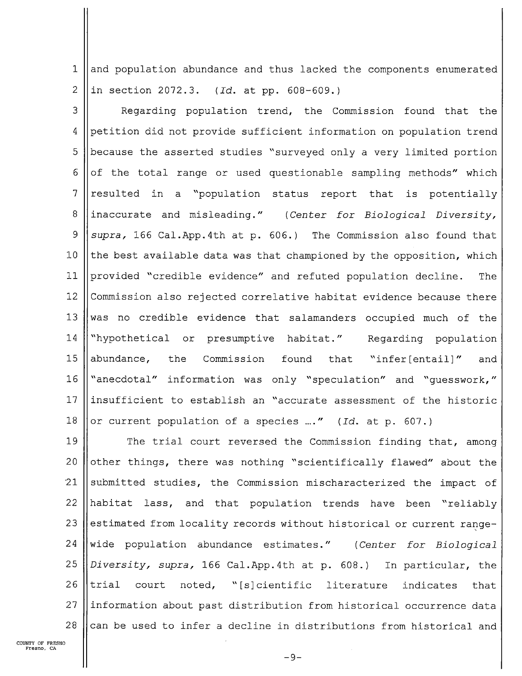$\mathbf{1}$ and population abundance and thus lacked the components enumerated 2  $\|$  in section 2072.3. (Id. at pp. 608-609.)

3 || Regarding population trend, the Commission found that the 4 petition did not provide sufficient information on population trend 5 | because the asserted studies "surveyed only a very limited portion 6  $\vert\vert$  of the total range or used questionable sampling methods" which  $7$  resulted in a "population status report that is potentially 8 inaccurate and misleading." (Center for Biological Diversity, 9  $\parallel$  supra, 166 Cal.App.4th at p. 606.) The Commission also found that 10  $\parallel$  the best available data was that championed by the opposition, which ll provided "credible evidence" and refuted population decline. The 12 Commission also rejected correlative habitat evidence because there 13 Was no credible evidence that salamanders occupied much of the 14 | "hypothetical or presumptive habitat." Regarding population 15 ||abundance, the Commission found that "infer[entail]" and 16 | "anecdotal" information was only "speculation" and "guesswork," 17  $\parallel$  insufficient to establish an "accurate assessment of the historic 18 || or current population of a species ...." (Id. at p. 607.)

19 || The trial court reversed the Commission finding that, among 20  $\parallel$  other things, there was nothing "scientifically flawed" about the  $21$  submitted studies, the Commission mischaracterized the impact of 22 habitat lass, and that population trends have been "reliably 23 estimated from locality records without historical or current range-24  $\vert$  wide population abundance estimates." (Center for Biological 25  $\vert$  *Diversity, supra,* 166 Cal.App.4th at p. 608.) In particular, the 26  $\|$ trial court noted, "[s]cientific literature indicates that 27 ||information about past distribution from historical occurrence data 28  $\vert$  can be used to infer a decline in distributions from historical and

 $-9-$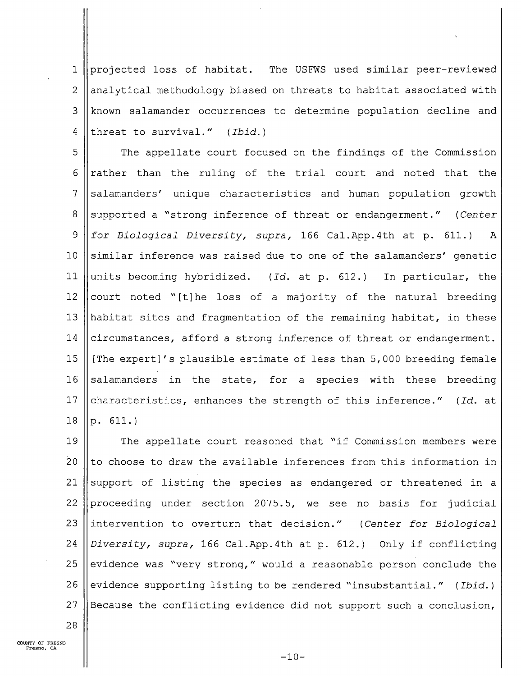1 projected loss of habitat. The USFWS used similar peer-reviewed 2 ||analytical methodology biased on threats to habitat associated with 3 known salamander occurrences to determine population decline and 4 threat to survival."  $(Ibid.)$ 

5 | The appellate court focused on the findings of the Commission 6  $\vert$  rather than the ruling of the trial court and noted that the 7 Salamanders' unique characteristics and human population growth 8 Supported a "strong inference of threat or endangerment." (Center 9  $\parallel$  for Biological Diversity, supra, 166 Cal. App. 4th at p. 611.)  $\mathbf{A}$ 10  $\parallel$  similar inference was raised due to one of the salamanders' genetic 11 units becoming hybridized. (Id. at p. 612.) In particular, the 12 court noted "[t]he loss of a majority of the natural breeding 13 || habitat sites and fragmentation of the remaining habitat, in these 14  $\parallel$  circumstances, afford a strong inference of threat or endangerment. 15  $\parallel$  [The expert]'s plausible estimate of less than 5,000 breeding female 16 salamanders in the state, for a species with these breeding 17 characteristics, enhances the strength of this inference." (Id. at  $18$  ||p.  $611.$ )

19 || The appellate court reasoned that "if Commission members were 20  $\parallel$  to choose to draw the available inferences from this information in 21  $\parallel$  support of listing the species as endangered or threatened in a 22 | proceeding under section 2075.5, we see no basis for judicial 23  $\parallel$  intervention to overturn that decision." (Center for Biological 24  $\vert$  Diversity, supra, 166 Cal. App. 4th at p. 612.) Only if conflicting 25 evidence was "very strong," would a reasonable person conclude the 26 evidence supporting listing to be rendered "insubstantial." (Ibid.) 27  $\parallel$  Because the conflicting evidence did not support such a conclusion,

COUNTY OF FRESNO Fresno, CA

28

 $-10-$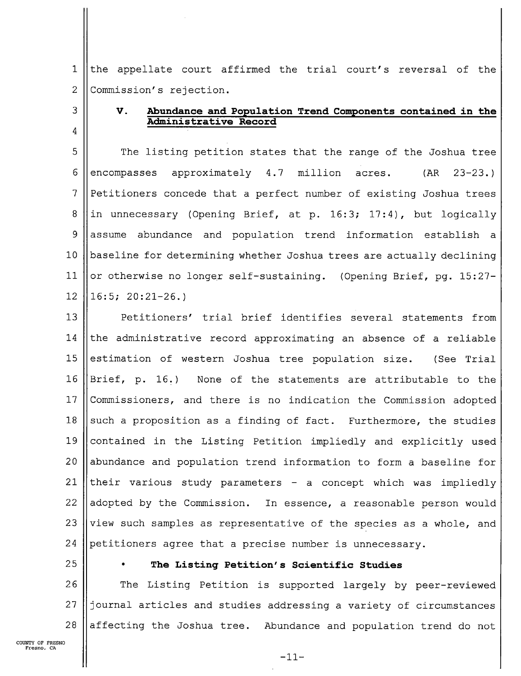1 the appellate court affirmed the trial court's reversal of the  $\overline{2}$ Commission's rejection.

# V. Abundance and Population Trend Components contained in the Administrative Record

5 The listing petition states that the range of the Joshua tree 6 encompasses approximately 4.7 million acres. (AR 23—23.)  $\overline{7}$ Petitioners concede that a perfect number of existing Joshua trees 8 in unnecessary (Opening Brief, at p. 16:3; 17:4), but logically 9 assume abundance and population trend information establish 10 baseline for determining whether Joshua trees are actually declining 11 or otherwise no longer self—sustaining. (Opening Brief, pg. 15:27—  $16:5$ ;  $20:21-26.$ 12

l3 14 15 16 || Brief, p. 16.) l7 18 19 20 21 22 adopted by the Commission. 23 24 Petitioners' trial brief identifies several statements from the administrative record approximating an absence of a reliable estimation of western Joshua tree population size. (See Trial None of the statements are attributable to the Commissioners, and there is no indication the Commission adopted such a proposition as a finding of fact. Furthermore, the studies contained in the Listing Petition impliedly and explicitly used abundance and population trend information to form a baseline for their various study parameters  $-$  a concept which was impliedly In essence, a reasonable person would view such samples as representative of the species as a whole, and petitioners agree that a precise number is unnecessary.

25

3

4

### The Listing Petition's Scientific Studies

26 27 28 The Listing Petition is supported largely by peer—reviewed journal articles and studies addressing a variety of circumstances affecting the Joshua tree. Abundance and population trend do not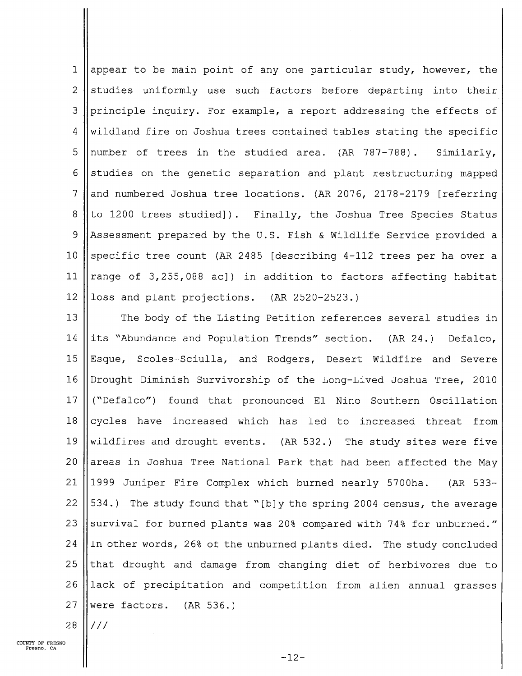$\mathbf{1}$ appear to be main point of any one particular study, however, the 2 studies uniformly use such factors before departing into their 3 || principle inquiry. For example, a report addressing the effects of 4 Wildland fire on Joshua trees contained tables stating the specific 5  $\parallel$  number of trees in the studied area. (AR 787-788). Similarly, 6 Studies on the genetic separation and plant restructuring mapped 7 and numbered Joshua tree locations. (AR 2076, 2178-2179 [referring] 8 to 1200 trees studied]). Finally, the Joshua Tree Species Status 9 Assessment prepared by the U.S. Fish & Wildlife Service provided a 10 Specific tree count (AR 2485 [describing 4-112 trees per ha over a 11  $\vert$  range of 3,255,088 ac]) in addition to factors affecting habitat 12 || loss and plant projections.  $(AR 2520-2523.)$ 

13 || The body of the Listing Petition references several studies in 14 ||its "Abundance and Population Trends" section. (AR 24.) Defalco, 15 |Esque, Scoles-Sciulla, and Rodgers, Desert Wildfire and Severe l6 Drought Diminish Survivorship of the Long-Lived Joshua Tree, 2010 l7 ("Defalco") found that pronounced El Nino Southern Oscillation 18  $\vert$  cycles have increased which has led to increased threat from 19 Wildfires and drought events. (AR 532.) The study sites were five 20  $\parallel$  areas in Joshua Tree National Park that had been affected the May 21 1999 Juniper Fire Complex which burned nearly 5700ha. (AR 533— 22  $\vert$  534.) The study found that "[b]y the spring 2004 census, the average 23 Survival for burned plants was 20% compared with 74% for unburned." 24  $\parallel$  In other words, 26% of the unburned plants died. The study concluded 25 that drought and damage from changing diet of herbivores due to 26 ||lack of precipitation and competition from alien annual grasses 27 Were factors.  $(AR 536.)$ 

 $28$   $\frac{1}{1}$  ///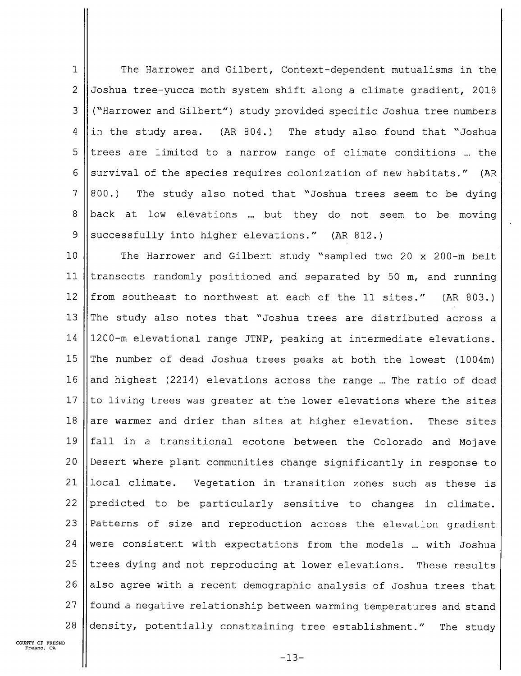$\mathbf{1}$ The Harrower and Gilbert, Context-dependent mutualisms in the 2 Joshua tree-yucca moth system shift along a climate gradient, 2018 <sup>3</sup> ("Harrower and Gilbert") study provided specific Joshua tree numbers 4 ||in the study area. (AR 804.) The study also found that "Joshua 5 Itrees are limited to a narrow range of climate conditions ... the 6 Survival of the species requires colonization of new habitats." (AR  $7 \parallel 800$ .) The study also noted that "Joshua trees seem to be dying 8  $\vert$ back at low elevations ... but they do not seem to be moving 9 Successfully into higher elevations."  $(AR 812.)$ 

10 || The Harrower and Gilbert study "sampled two 20 x 200-m belt ll transects randomly positioned and separated by 50 m, and running 12 from southeast to northwest at each of the 11 sites." (AR 803.) 13 The study also notes that "Joshua trees are distributed across a l4 1200—m elevational range JTNP, peaking at intermediate elevations. 15 The number of dead Joshua trees peaks at both the lowest  $(1004m)$ 16 and highest (2214) elevations across the range ... The ratio of dead 17  $\parallel$  to living trees was greater at the lower elevations where the sites 18 are warmer and drier than sites at higher elevation. These sites 19 || fall in a transitional ecotone between the Colorado and Mojave 20 ||Desert where plant communities change significantly in response to 21 local climate. Vegetation in transition zones such as these is 22  $\beta$  predicted to be particularly sensitive to changes in climate.  $23$  Patterns of size and reproduction across the elevation gradient 24 Were consistent with expectations from the models ... with Joshua  $25$  ||trees dying and not reproducing at lower elevations. These results 26  $\parallel$  also agree with a recent demographic analysis of Joshua trees that 27 || found a negative relationship between warming temperatures and stand 28  $\parallel$  density, potentially constraining tree establishment." The study

 $-13-$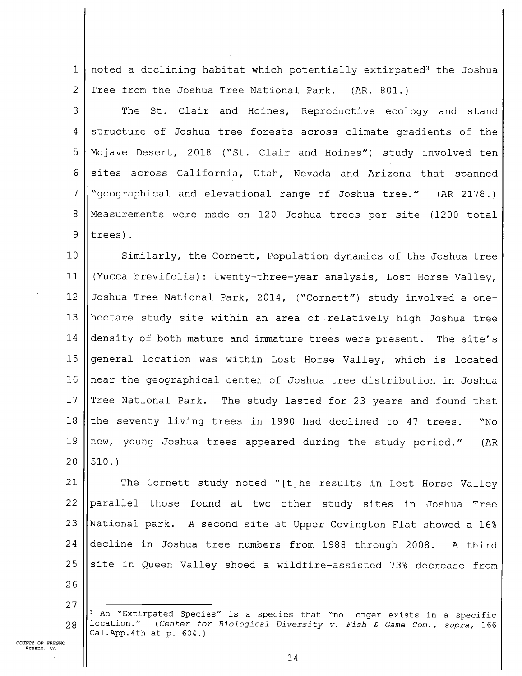$\mathbf{1}$ noted a declining habitat which potentially extirpated<sup>3</sup> the Joshua  $\overline{2}$ Tree from the Joshua Tree National Park. (AR. 801.)

3 The St. Clair and Hoines, Reproductive ecology and stand 4 structure of Joshua tree forests across climate gradients of the 5 Mojave Desert, 2018 ("St. Clair and Hoines") study involved ten 6 sites across California, Utah, Nevada and Arizona that spanned  $\overline{7}$ "geographical and elevational range of Joshua tree." (AR 2178.) 8 Measurements were made on 120 JOShua trees per site (1200 total 9 trees).

10 ll 12 l3 l4 15 l6 l7 l8 l9 20 Similarly, the Cornett, Population dynamics of the Joshua tree (Yucca brevifolia): twenty—three—year analysis, Lost Horse Valley, Joshua Tree National Park, 2014, ("Cornett") study involved a onehectare study site within an area of'relatively high Joshua tree density of both mature and immature trees were present. The site's general location was within Lost Horse Valley, which is located near the geographical center of Joshua tree distribution in Joshua Tree National Park. The study lasted for 23 years and found that the seventy living trees in 1990 had declined to 47 trees. "No new, young Joshua trees appeared during the study period." (AR 510.)

21 22 23 24 25 The Cornett study noted "[t]he results in Lost Horse Valley parallel those found at two other study sites in Joshua Tree National park. A second site at Upper Covington Flat showed a 16% decline in Joshua tree numbers from 1988 through 2008. A third site in Queen Valley shoed a wildfire-assisted 73% decrease from

- 26 27
- $28$  ||location." <sup>3</sup> An "Extirpated Species" is a species that "no longer exists in a specific (Center for Biological Diversity v. Fish & Game Com., supra, 166 Cal.App.4th at p. 604.)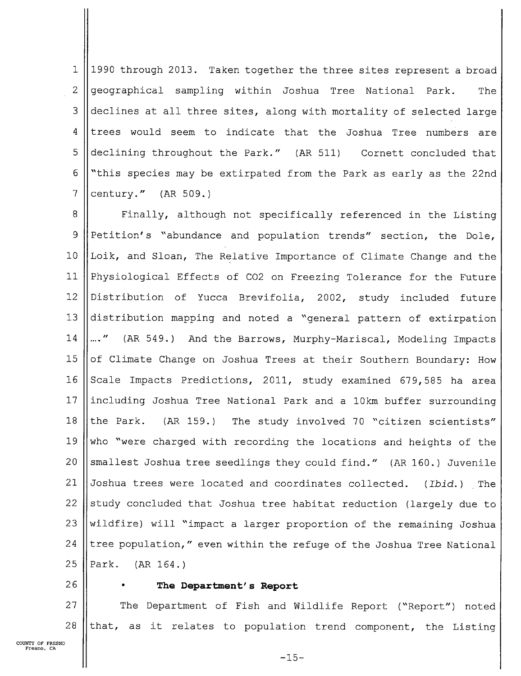$\mathbf{1}$ 1990 through 2013. Taken together the three sites represent a broad 2 geographical sampling within Joshua Tree National Park. The 3 declines at all three sites, along with mortality of selected large  $4$  trees would seem to indicate that the Joshua Tree numbers are 5 declining throughout the Park." (AR 511) Cornett concluded that 6  $\mathsf{l}\$  "this species may be extirpated from the Park as early as the 22nd  $7$  ||century." (AR 509.)

8 || Finally, although not specifically referenced in the Listing <sup>9</sup> Petition's "abundance and population trends" section, the Dole, 10 |Loik, and Sloan, The Relative Importance of Climate Change and the ll Physiological Effects of C02 on Freezing Tolerance for the Future 12 Distribution of Yucca Brevifolia, 2002, study included future 13 distribution mapping and noted a "general pattern of extirpation 14 ||...." (AR 549.) And the Barrows, Murphy-Mariscal, Modeling Impacts 15 || of Climate Change on Joshua Trees at their Southern Boundary: How 16 Scale Impacts Predictions, 2011, study examined 679,585 ha area 17 ||including Joshua Tree National Park and a 10km buffer surrounding 18 || the Park.  $(RR 159.)$  The study involved 70 "citizen scientists" 19 Who "were charged with recording the locations and heights of the 20  $\parallel$  smallest Joshua tree seedlings they could find." (AR 160.) Juvenile 21  $\vert$  Joshua trees were located and coordinates collected. (Ibid.) The 22  $\parallel$  study concluded that Joshua tree habitat reduction (largely due to 23  $\vert$  wildfire) will "impact a larger proportion of the remaining Joshua 24  $\parallel$  tree population," even within the refuge of the Joshua Tree National  $25$  ||Park. (AR 164.)

### 26 || . The Department's Report

27 || The Department of Fish and Wildlife Report ("Report") noted 28  $\parallel$  that, as it relates to population trend component, the Listing

 $-15-$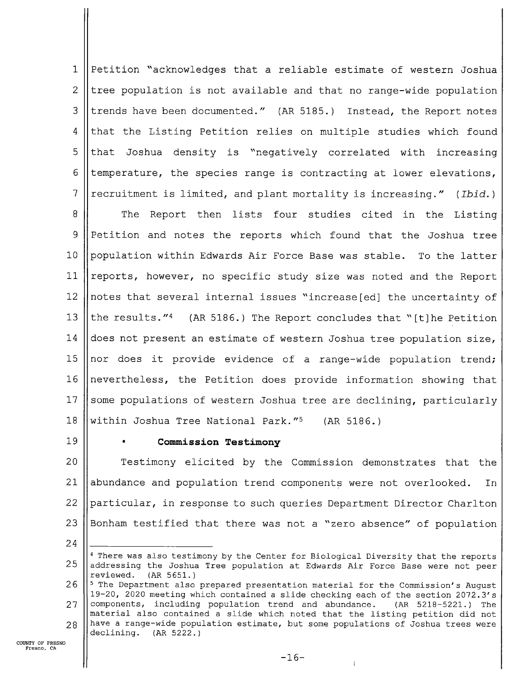$\mathbf{1}$ Petition "acknowledges that a reliable estimate of western Joshua  $\overline{2}$ tree population is not available and that no range-wide population 3 trends have been documented." (AR 5185.) Instead, the Report notes  $\overline{4}$ that the Listing Petition relies on multiple studies which found 5 that Joshua density is "negatively correlated with increasing 6 temperature, the species range is contracting at lower elevations, 7 recruitment is limited, and plant mortality is increasing." (Ibid.)

8 The Report then lists four studies cited in the Listing 9 Petition and notes the reports which found that the Joshua tree 10 population within Edwards Air Force Base was stable. To the latter 11 reports, however, no specific study size was noted and the Report 12 notes that several internal issues "increase[ed] the uncertainty of l3 the results."4 (AR 5186.) The Report concludes that "[t]he Petition l4 does not present an estimate of western Joshua tree population size, 15 nor does it provide evidence of a range-wide population trend; 16 nevertheless, the Petition does provide information showing that 17 some populations of western Joshua tree are declining, particularly l8 within Joshua Tree National Park."<sup>5</sup> (AR 5186.)

l9

### Commission Testimony

20 21 22 23 Testimony elicited by the Commission demonstrates that the abundance and population trend components were not overlooked. In particular, in response to such queries Department Director Charlton Bonham testified that there was not a "zero absence" of population

24

<sup>25</sup> <sup>4</sup> There was also testimony by the Center for Biological Diversity that the reports addressing the Joshua Tree population at Edwards Air Force Base were not peer reviewed. (AR 5651.)

<sup>26</sup> 27 28 <sup>5</sup> The Department also prepared presentation material for the Commission's August 19-20, 2020 meeting which contained a slide checking each of the section 2072.3's components, including population trend and abundance. (AR 5218—5221.) The material also contained a slide which noted that the listing petition did not have a range-wide population estimate, but some populations of Joshua trees were declining. (AR 5222.)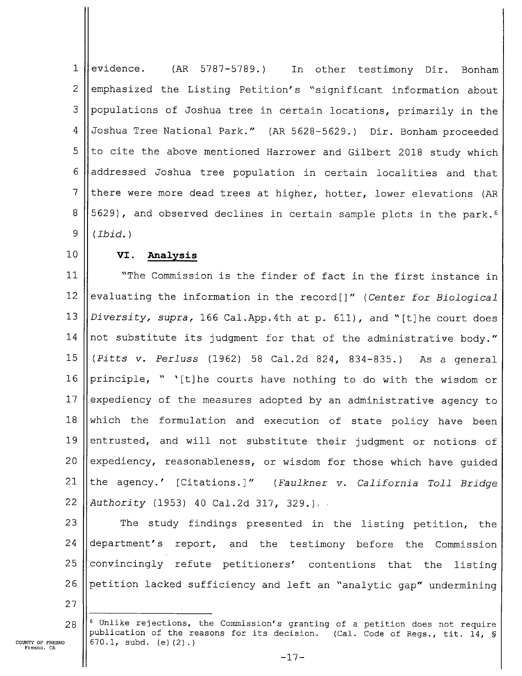$\mathbf{1}$ evidence. (AR 5787—5789.) In other testimony Dir. Bonham  $\overline{2}$ emphasized the Listing Petition's "significant information about 3 populations of Joshua tree in certain locations, primarily in the 4 Joshua Tree National Park." (AR 5628—5629.) Dir. Bonham proceeded to cite the above mentioned Harrower and Gilbert 2018 study which 5 addressed Joshua tree population in certain localities and that 6 7 there were more dead trees at higher, hotter, lower elevations (AR 8 5629), and observed declines in certain sample plots in the park.6 9 (Ibid.)

lO

### VI. Analysis

ll 12 13 l4 15 16 l7 18 l9 20 21 22 "The Commission is the finder of fact in the first instance in evaluating the information in the record[]" (Center for Biological Diversity, supra, 166 Cal.App.4th at p. 611), and "[t]he court does not substitute its judgment for that of the administrative body."  $(Pltts$  v. Perluss  $(1962)$  58 Cal.2d 824, 834-835.) As a general principle, " '[t]he courts have nothing to do with the wisdom or expediency of the measures adopted by an administrative agency to which the formulation and execution of state policy have been entrusted, and will not substitute their judgment or notions of expediency, reasonableness, or wisdom for those which have guided the agency.' [Citations.]" (Faulkner v. California Toll Bridge Authority (1953) 40 Cal.2d 317, 329.

23 24 25 26 The study findings presented in the listing petition, the department's report, and the testimony before the Commission convincingly. refute petitioners' contentions that the listing petition lacked sufficiency and left an "analytic gap" undermining

27

28  $6$  Unlike rejections, the Commission's granting of a petition does not require publication of the reasons for its decision. (Cal. Code of Regs., tit. 14, § 670.1, subd. (e)(2).)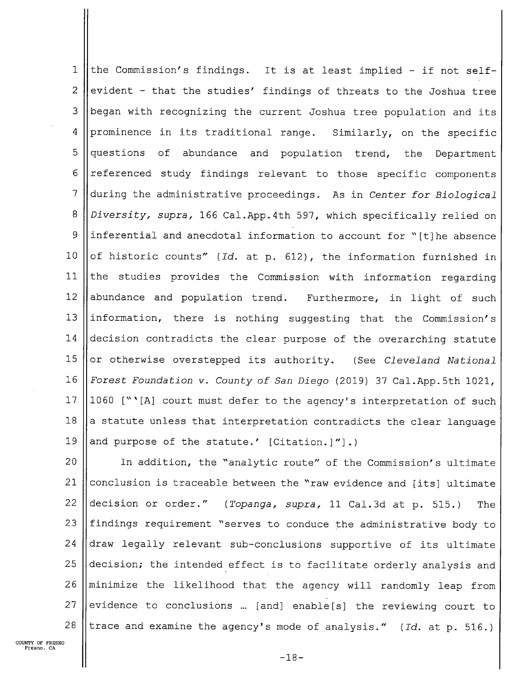$\mathbf{1}$ the Commission's findings. It is at least implied — if not self—  $\overline{2}$ evident - that the studies' findings of threats to the Joshua tree 3 began with recognizing the current Joshua tree population and its 4 prominence in its traditional range. Similarly, on the specific 5 questions of abundance and population trend, the Department 6 referenced study findings relevant to those specific components  $\overline{7}$ during the administrative proceedings. As in Center for Biological 8 Diversity, supra, 166 Cal.App.4th 597, which specifically relied on 9 inferential and anecdotal information to account for "[t]he absence of historic counts" (Id. at p. 612), the information furnished in 10 the studies provides the Commission with information regarding 11 12 abundance and population trend. Furthermore, in light of such l3 information, there is nothing suggesting that the Commission's l4 decision contradicts the clear purpose of the overarching statute 15 or otherwise overstepped its authority. (See Cleveland National Forest Foundation v. County of San Diego (2019) 37 Cal.App.5th 1021, l6 1060 ["'[A] court must defer to the agency's interpretation of such l7 a statute unless that interpretation contradicts the clear language l8 l9 and purpose of the statute.' [Citation.]"].)

20 21 22 23 24 25 26 27 28 In addition, the "analytic route" of the Commission's ultimate conclusion is traceable between the "raw evidence and [its] ultimate decision or order." (Topanga, supra, 11 Cal.3d at p. 515.) The findings requirement "serves to conduce the administrative body to draw legally relevant sub—conclusions supportive of its ultimate decision; the intended'effect is to facilitate orderly analysis and minimize the likelihood thaf the agency will randomly leap from evidence to conclusions ... [and] enable[s] the reviewing court to trace and examine the agency's mode of analysis." (Id. at p. 516.)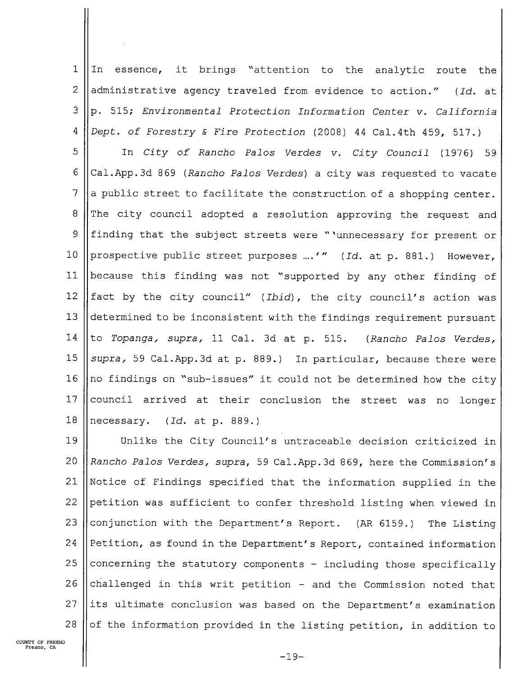$\mathbf{1}$ In essence, it brings "attention to the analytic route the  $\overline{2}$ administrative agency traveled from evidence to action." (Id. at 3 p. 515; Environmental Protection Information Center v. California  $\overline{4}$ Dept. of Forestry & Fire Protection (2008) 44 Cal.4th 459, 517.)

5 In City of Rancho Palos Verdes v. City Council (1976) 59 6 Cal.App.3d 869 (Rancho Palos Verdes) a city was requested to vacate  $\overline{7}$ a public street to facilitate the construction of a shopping center. The city council adopted a resolution approving the request and  $\mathsf{B}$ 9 finding that the subject streets were "'unnecessary for present or  $10$ prospective public street purposes m.'" (Id. at p. 881.) However, ll because this finding was not "supported by any other finding of 12 fact by the city council" (Ibid), the city council's action was l3 determined to be inconsistent with the findings requirement pursuant l4 to Topanga, supra, 11 Cal. 3d at p. 515. (Rancho Palos Verdes, 15 supra, 59 Cal.App.3d at p. 889.) In particular, because there were l6 no findings on "sub—issues" it could not be determined how the city 17 council arrived at their conclusion the street was no longer 18 necessary. (Id. at p. 889.)

19 20 21 22 23 24 25 26 27 28 Unlike the City Council's untraceable decision criticized in Rancho Palos VErdes, supra, 59 Cal.App.3d 869, here the Commission's Notice of Findings specified that the information supplied in the petition was sufficient to confer threshold listing when viewed in conjunction with the Department's Report. (AR 6159.) The Listing Petition, as found in the Department's Report, contained information concerning the statutory components — including those specifically challenged in this writ petition — and the Commission noted that its ultimate conclusion was based on the Department's examination of the information provided in the listing petition, in addition to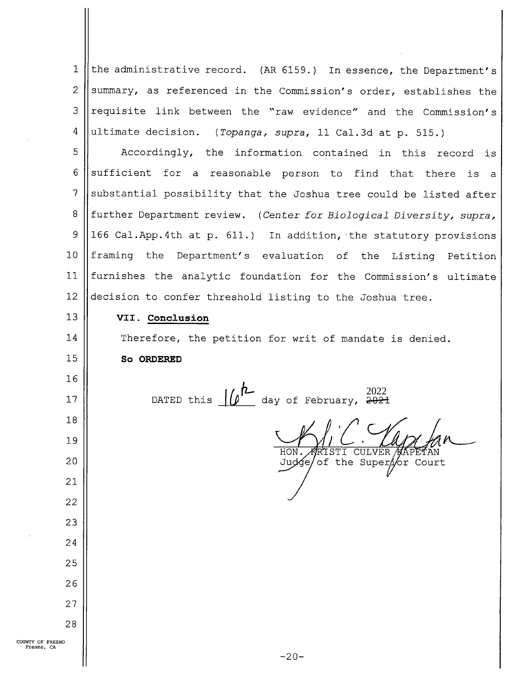$\mathbf{1}$ the administrative record. (AR 6159.) In essence, the Department's  $\overline{2}$ summary, as referenced in the Commission's order, establishes the requisite link between the "raw evidence" and the Commission's 3 4 ultimate decision. (Topanga, supra, 11 Cal.3d at p. 515.) 5 Accordingly, the information contained in this record is 6 sufficient for a reasonable person to find that there is a  $\overline{7}$ substantial possibility that the Joshua tree could be listed after 8 further Department review. (Center for Biological Diversity, supra, 166 Cal.App.4th at p. 611.) In addition,'the statutory provisions 9 10 framing the Department's evaluation of the Listing Petition 11 furnishes the analytic foundation for the Commission's ultimate 12 decision to confer threshold listing to the Joshua tree. l3 VII. Conclusion l4 Therefore, the petition for writ of mandate is denied. 15 So ORDERED l6 202217 DATED this  $\frac{|\theta|}{\theta}$  day of February, 2021<br> $\frac{|\theta|}{\theta}$  of February, 2021 18 19 HON. ARISTI CULVER AAPETAN<br>Judge/ of the SuperAor Court 20 21 22 23 24 25 26 27 28 COUNTY OF FRESNO Fresno, CA

 $-20-$